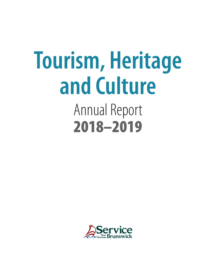# Annual Report 2018–2019 **Tourism, Heritage and Culture**

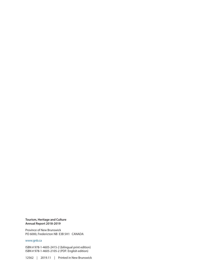#### **Tourism, Heritage and Culture Annual Report 2018-2019**

Province of New Brunswick PO 6000, Fredericton NB E3B 5H1 CANADA

#### www.gnb.ca

ISBN # 978-1-4605-2415-2 (bilingual print edition) ISBN # 978-1-4605-2105-2 (PDF: English edition)

12562 | 2019.11 | Printed in New Brunswick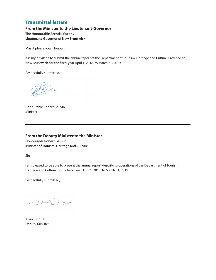#### Transmittal letters

**From the Minister to the Lieutenant-Governor The Honourable Brenda Murphy Lieutenant-Governor of New Brunswick**

May it please your Honour:

It is my privilege to submit the annual report of the Department of Tourism, Heritage and Culture, Province of New Brunswick, for the fiscal year April 1, 2018, to March 31, 2019.

Respectfully submitted,

Holin

Honourable Robert Gauvin Minister

**From the Deputy Minister to the Minister Honourable Robert Gauvin Minister of Tourism, Heritage and Culture**

Sir:

I am pleased to be able to present the annual report describing operations of the Department of Tourism, Heritage and Culture for the fiscal year April 1, 2018, to March 31, 2019.

Respectfully submitted,

 $\triangle$ lein g

Alain Basque Deputy Minister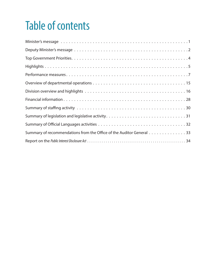### Table of contents

| Summary of recommendations from the Office of the Auditor General 33 |
|----------------------------------------------------------------------|
|                                                                      |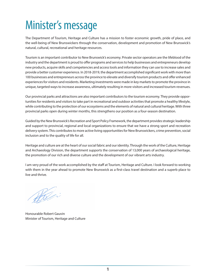### <span id="page-6-0"></span>Minister's message

The Department of Tourism, Heritage and Culture has a mission to foster economic growth, pride of place, and the well-being of New Brunswickers through the conservation, development and promotion of New Brunswick's natural, cultural, recreational and heritage resources.

Tourism is an important contributor to New Brunswick's economy. Private sector operators are the lifeblood of the industry and the department is proud to offer programs and services to help businesses and entrepreneurs develop new products, acquire skills and competencies and access tools and information they can use to increase sales and provide a better customer experience. In 2018-2019, the department accomplished significant work with more than 100 businesses and entrepreneurs across the province to elevate and diversify tourism products and offer enhanced experiences for visitors and residents. Marketing investments were made in key markets to promote the province in unique, targeted ways to increase awareness, ultimately resulting in more visitors and increased tourism revenues.

Our provincial parks and attractions are also important contributors to the tourism economy. They provide opportunities for residents and visitors to take part in recreational and outdoor activities that promote a healthy lifestyle, while contributing to the protection of our ecosystems and the elements of natural and cultural heritage. With three provincial parks open during winter months, this strengthens our position as a four-season destination.

Guided by the New Brunswick's Recreation and Sport Policy Framework, the department provides strategic leadership and support to provincial, regional and local organizations to ensure that we have a strong sport and recreation delivery system. This contributes to more active living opportunities for New Brunswickers, crime prevention, social inclusion and to the quality of life for all.

Heritage and culture are at the heart of our social fabric and our identity. Through the work of the Culture, Heritage and Archaeology Division, the department supports the conservation of 13,000 years of archaeological heritage, the promotion of our rich and diverse culture and the development of our vibrant arts industry.

I am very proud of the work accomplished by the staff at Tourism, Heritage and Culture. I look forward to working with them in the year ahead to promote New Brunswick as a first-class travel destination and a superb place to live and thrive.

Holin

Honourable Robert Gauvin Minister of Tourism, Heritage and Culture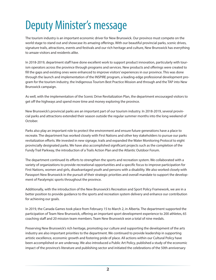### <span id="page-7-0"></span>Deputy Minister's message

The tourism industry is an important economic driver for New Brunswick. Our province must compete on the world stage to stand out and showcase its amazing offerings. With our beautiful provincial parks, scenic drives, signature trails, attractions, events and festivals and our rich heritage and culture, New Brunswick has everything to amaze visitors and residents alike.

In 2018-2019, department staff have done excellent work to support product innovation, particularly with tourism operators across the province through programs and services. New products and offerings were created to fill the gaps and existing ones were enhanced to improve visitors' experiences in our province. This was done through the launch and implementation of the INSPIRE program, a leading-edge professional development program for the tourism industry, the Indigenous Tourism Best Practice Mission and through and the TAP into New Brunswick campaign.

As well, with the implementation of the Scenic Drive Revitalization Plan, the department encouraged visitors to get off the highways and spend more time and money exploring the province.

New Brunswick's provincial parks are an important part of our tourism industry. In 2018-2019, several provincial parks and attractions extended their season outside the regular summer months into the long weekend of October.

Parks also play an important role to protect the environment and ensure future generations have a place to recreate. The department has worked closely with First Nations and other key stakeholders to pursue our parks revitalization efforts. We invested in new signage, trails and expanded the Water Monitoring Protocol to eight provincially designated parks. We have also accomplished significant projects such as the completion of the Fundy Trail Parkway, the introduction of a Trails Action Plan and the Atlantic Outdoor Forum.

The department continued its efforts to strengthen the sports and recreation system. We collaborated with a variety of organizations to provide recreational opportunities and a specific focus to improve participation for First Nations, women and girls, disadvantaged youth and persons with a disability. We also worked closely with Parasport New Brunswick in the pursuit of their strategic priorities and overall mandate to support the development of Paralympic sports throughout the province.

Additionally, with the introduction of the New Brunswick's Recreation and Sport Policy Framework, we are in a better position to provide guidance to the sports and recreation system delivery and enhance our contribution for achieving our goals.

In 2019, the Canada Games took place from February 15 to March 2, in Alberta. The department supported the participation of Team New Brunswick, offering an important sport development experience to 200 athletes, 65 coaching staff and 20 mission team members. Team New Brunswick won a total of nine medals.

Preserving New Brunswick's rich heritage, promoting our culture and supporting the development of the arts industry are also important priorities to the department. We continued to provide leadership in supporting artistic excellence, economic growth and fostering pride of place. All actions within our Cultural Policy have been accomplished or are underway. We also introduced a Public Art Policy, published a study of the economic impact of the province's literature and publishing sector and initiated the celebrations of the 50th anniversary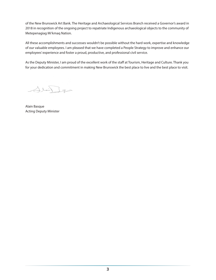of the New Brunswick Art Bank. The Heritage and Archaeological Services Branch received a Governor's award in 2018 in recognition of the ongoing project to repatriate Indigenous archaeological objects to the community of Metepenagiag Mi'kmaq Nation.

All these accomplishments and successes wouldn't be possible without the hard work, expertise and knowledge of our valuable employees. I am pleased that we have completed a People Strategy to improve and enhance our employees' experience and foster a proud, productive, and professional civil service.

As the Deputy Minister, I am proud of the excellent work of the staff at Tourism, Heritage and Culture. Thank you for your dedication and commitment in making New Brunswick the best place to live and the best place to visit.

Jlein g

Alain Basque Acting Deputy Minister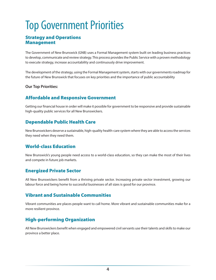### <span id="page-9-0"></span>Top Government Priorities

#### Strategy and Operations Management

The Government of New Brunswick (GNB) uses a Formal Management system built on leading business practices to develop, communicate and review strategy. This process provides the Public Service with a proven methodology to execute strategy, increase accountability and continuously drive improvement.

The development of the strategy, using the Formal Management system, starts with our governments roadmap for the future of New Brunswick that focuses on key priorities and the importance of public accountability

#### **Our Top Priorities:**

#### Affordable and Responsive Government

Getting our financial house in order will make it possible for government to be responsive and provide sustainable high-quality public services for all New Brunswickers.

#### Dependable Public Health Care

New Brunswickers deserve a sustainable, high-quality health-care system where they are able to access the services they need when they need them.

#### World-class Education

New Brunswick's young people need access to a world-class education, so they can make the most of their lives and compete in future job markets.

#### Energized Private Sector

All New Brunswickers benefit from a thriving private sector. Increasing private sector investment, growing our labour force and being home to successful businesses of all sizes is good for our province.

#### Vibrant and Sustainable Communities

Vibrant communities are places people want to call home. More vibrant and sustainable communities make for a more resilient province.

#### High-performing Organization

All New Brunswickers benefit when engaged and empowered civil servants use their talents and skills to make our province a better place.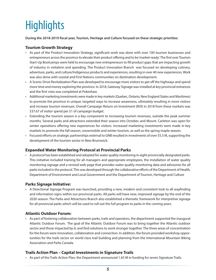### <span id="page-10-0"></span>**Highlights**

**During the 2018-2019 fiscal year, Tourism, Heritage and Culture focused on these strategic priorities:**

#### **Tourism Growth Strategy**

- As part of the Product Innovation Strategy, significant work was done with over 100 tourism businesses and entrepreneurs across the province to elevate their product offering and to be 'market-ready'. The first ever Tourism Start-Up Bootcamps were held to encourage new entrepreneurs to fill product gaps that are impacting growth of industry in visitation and spending. The Product Innovation Branch was focused on developing culinary, adventure, parks, and culture/Indigenous products and experiences, resulting in over 40 new experiences. Work was also done with coastal and First Nations communities on destination development.
- A Scenic Drive Revitalization Plan was developed to encourage more visitors to get off the highways and spend more time and money exploring the province. In 2018, Gateway Signage was installed at key provincial entrances and the first vista was completed at Pokeshaw.
- Additional marketing investments were made in key markets (Quebec, Ontario, New England States and Maritimes) to promote the province in unique, targeted ways to increase awareness, ultimately resulting in more visitors and increase tourism revenues. Overall Campaign Return on Investment (ROI) in 2018 from these markets was \$37.67 of visitor spend per \$1 of campaign budget.
- Extending the tourism season is a key component to increasing tourism revenues, outside the peak summer months. Several parks and attractions extended their season into October, and Mount. Carleton was open for winter operations offering new experiences for visitors. Increased marketing investments were made in key markets to promote the fall season, snowmobile and winter tourism, as well as the spring maple season.
- Focused efforts on strategic partnerships external to GNB resulted in investments of over \$5.5 M, supporting the development of the tourism sector in New Brunswick.

#### **Expanded Water Monitoring Protocol at Provincial Parks**

• A protocol has been established and adopted for water quality monitoring in eight provincially designated parks. This initiative included training for all managers and appropriate employees, the installation of water quality monitoring signage and a revised web page that provides water quality monitoring data and advisories for all parks included in the protocol. This was developed through the collaborative efforts of the Department of Health, Department of Environment and Local Government and the Department of Tourism, Heritage and Culture

#### **Parks Signage Initiative:**

• A Directional Signage Program was launched, providing a new, modern and consistent look to all wayfinding and information signs within our provincial parks. All parks will have new, improved signage by the end of the 2020 season. The Parks and Attractions Branch also established a thematic framework for interpretive signage for all provincial parks which will be used to roll out the full program to parks in the coming years.

#### **Atlantic Outdoor Forum:**

• As part of fostering collaboration between parks, trails and operators, the department supported the inaugural Atlantic Outdoor Forum. The goal of the Atlantic Outdoor Forum was to bring together the Atlantic outdoor sector and those impacted by it; and find solutions to work stronger together. The three areas of concentration for the forum were innovation, collaboration and connection. In addition, the forum provided workshop opportunities for the trails sector on world class trail building and planning from the International Mountain Biking Association and Parks Canada.

#### **Trails Action Plan – Capital Investments in Signature Trails**

• As part of the Trails Action Plan, the Department announced 1.65 M in funding for seven Signature Trails.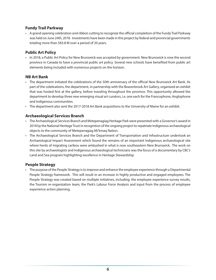#### **Fundy Trail Parkway**

• A grand opening celebration and ribbon cutting to recognize the official completion of the Fundy Trail Parkway was held on June 24th, 2018. Investments have been made in this project by federal and provincial governments totaling more than \$83.8 M over a period of 20 years.

#### **Public Art Policy**

• In 2018, a Public Art Policy for New Brunswick was accepted by government. New Brunswick is now the second province in Canada to have a provincial public art policy. Several new schools have benefited from public art elements being included with numerous projects on the horizon.

#### **NB Art Bank**

- The department initiated the celebrations of the 50th anniversary of the official New Brunswick Art Bank. As part of the celebrations, the department, in partnership with the Beaverbrook Art Gallery, organized an exhibit that was hosted first at the gallery, before traveling throughout the province. This opportunity allowed the department to develop three new emerging visual art curators, i.e. one each for the Francophone, Anglophone and Indigenous communities.
- The department also sent the 2017-2018 Art Bank acquisitions to the University of Maine for an exhibit.

#### **Archaeological Services Branch**

- The Archaeological Services Branch and Metepenagiag Heritage Park were presented with a Governor's award in 2018 by the National Heritage Trust in recognition of the ongoing project to repatriate Indigenous archaeological objects to the community of Metepenagiag Mi'kmaq Nation.
- The Archaeological Services Branch and the Department of Transportation and Infrastructure undertook an Archaeological Impact Assessment which found the remains of an important Indigenous archaeological site where herds of migrating caribou were ambushed in what is now southeastern New Brunswick. The work on this site by archaeologists and Indigenous archaeological technicians was the focus of a documentary by CBC's Land and Sea program highlighting excellence in Heritage Stewardship.

#### **People Strategy**

• The purpose of the People Strategy is to improve and enhance the employee experience through a Departmental People Strategy framework. This will result in an increase in highly productive and engaged employees. The People Strategy was created based on multiple initiatives, including: the employee experience survey results, the Tourism re-organization team, the Park's Labour Force Analysis and input from the process of employee experience action planning.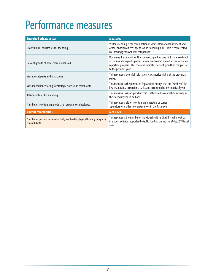### <span id="page-12-0"></span>Performance measures

| <b>Energized private sector</b>                                                            | <b>Measures</b>                                                                                                                                                                                                                                     |
|--------------------------------------------------------------------------------------------|-----------------------------------------------------------------------------------------------------------------------------------------------------------------------------------------------------------------------------------------------------|
| Growth in NB tourism visitor spending                                                      | Visitor Spending is the combination of what international, resident and<br>other Canadian citizens spend while travelling in NB. This is represented<br>by showing year over year comparisons.                                                      |
| Percent growth of hotel room nights sold                                                   | Room night is defined as: One room occupied for one night in a fixed-roof<br>accommodation participating in New Brunswick's roofed accommodation<br>reporting program. This measure indicates percent growth in comparison<br>to the previous year. |
| Visitation at parks and attractions                                                        | This represents overnight visitation via campsite nights at the provincial<br>parks.                                                                                                                                                                |
| Visitor experience rating for strategic hotels and restaurants                             | This measure is the percent of Trip Advisor ratings that are "excellent" for<br>key restaurants, attractions, parks and accommodations in a fiscal year.                                                                                            |
| Attributable visitor spending                                                              | This measures visitor spending that is attributed to marketing activity in<br>the calendar year, in millions.                                                                                                                                       |
| Number of new tourism products or experiences developed                                    | This represents either new tourism operators or current<br>operators who offer new experiences in the fiscal year.                                                                                                                                  |
| <b>Vibrant communities</b>                                                                 | <b>Measures</b>                                                                                                                                                                                                                                     |
| Number of persons with a disability involved in physical literacy programs<br>through GoNB | This represents the number of individuals with a disability who took part<br>in a sport activity supported by GoNB funding during the 2018/2019 fiscal<br>year.                                                                                     |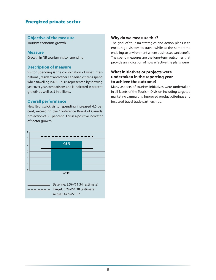#### **Objective of the measure**

Tourism economic growth.

#### **Measure**

Growth in NB tourism visitor spending.

#### **Description of measure**

Visitor Spending is the combination of what international, resident and other Canadian citizens spend while travelling in NB. This is represented by showing year over year comparisons and is indicated in percent growth as well as \$ in billions.

#### **Overall performance**

New Brunswick visitor spending increased 4.6 per cent, exceeding the Conference Board of Canada projection of 3.5 per cent. This is a positive indicator of sector growth.



#### **Why do we measure this?**

The goal of tourism strategies and action plans is to encourage visitors to travel while at the same time enabling an environment where businesses can benefit. The spend measures are the long-term outcomes that provide an indication of how effective the plans were.

#### **What initiatives or projects were undertaken in the reporting year to achieve the outcome?**

Many aspects of tourism initiatives were undertaken in all facets of the Tourism Division including targeted marketing campaigns, improved product offerings and focussed travel trade partnerships.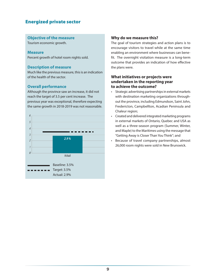#### **Objective of the measure**

Tourism economic growth.

#### **Measure**

Percent growth of hotel room nights sold.

#### **Description of measure**

Much like the previous measure, this is an indication of the health of the sector.

#### **Overall performance**

Although the province saw an increase, it did not reach the target of 3.5 per cent increase. The previous year was exceptional, therefore expecting the same growth in 2018-2019 was not reasonable.



#### **Why do we measure this?**

The goal of tourism strategies and action plans is to encourage visitors to travel while at the same time enabling an environment where businesses can benefit. The overnight visitation measure is a long-term outcome that provides an indication of how effective the plans were.

#### **What initiatives or projects were undertaken in the reporting year to achieve the outcome?**

- Strategic advertising partnerships in external markets with destination marketing organizations throughout the province, including Edmundson, Saint John, Fredericton, Campbellton, Acadian Peninsula and Chaleur region;
- Created and delivered integrated marketing programs in external markets of Ontario, Quebec and USA as well as a three-season program (Summer, Winter, and Maple) to the Maritimes using the message that "Getting Away is Closer Than You Think"; and
- Because of travel company partnerships, almost 26,000 room nights were sold in New Brunswick.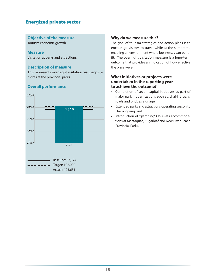#### **Objective of the measure**

Tourism economic growth.

#### **Measure**

Visitation at parks and attractions.

#### **Description of measure**

This represents overnight visitation via campsite nights at the provincial parks.

#### **Overall performance**



#### **Why do we measure this?**

The goal of tourism strategies and action plans is to encourage visitors to travel while at the same time enabling an environment where businesses can benefit. The overnight visitation measure is a long-term outcome that provides an indication of how effective the plans were.

#### **What initiatives or projects were undertaken in the reporting year to achieve the outcome?**

- Completion of seven capital initiatives as part of major park modernizations such as, chairlift, trails, roads and bridges, signage;
- Extended parks and attractions operating season to Thanksgiving; and
- Introduction of "glamping" Ch-A-lets accommodations at Mactaquac, Sugarloaf and New River Beach Provincial Parks.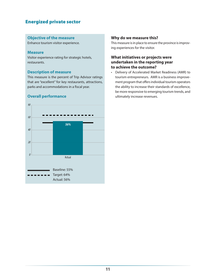#### **Objective of the measure**

Enhance tourism visitor experience.

#### **Measure**

Visitor experience rating for strategic hotels, restaurants.

#### **Description of measure**

This measure is the percent of Trip Advisor ratings that are "excellent" for key restaurants, attractions, parks and accommodations in a fiscal year.

#### **Overall performance**



#### **Why do we measure this?**

This measure is in place to ensure the province is improving experiences for the visitor.

#### **What initiatives or projects were undertaken in the reporting year to achieve the outcome?**

• Delivery of Accelerated Market Readiness (AMR) to tourism entrepreneurs. AMR is a business improvement program that offers individual tourism operators the ability to increase their standards of excellence, be more responsive to emerging tourism trends, and ultimately increase revenues.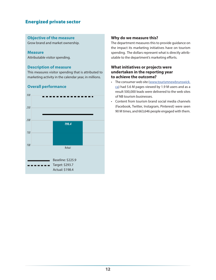#### **Objective of the measure**

Grow brand and market ownership.

#### **Measure**

Attributable visitor spending.

#### **Description of measure**

This measures visitor spending that is attributed to marketing activity in the calendar year, in millions.

### 300 250 200 198.4 150 100 Actual Baseline: \$225.9 Target: \$293.7 Actual: \$198.4

#### **Overall performance**

#### **Why do we measure this?**

The department measures this to provide guidance on the impact its marketing initiatives have on tourism spending. The dollars represent what is directly attributable to the department's marketing efforts.

#### **What initiatives or projects were undertaken in the reporting year to achieve the outcome?**

- The consumer web site ([www.tourismnewbrunswick.](http://www.tourismnewbrunswick.ca) [ca](http://www.tourismnewbrunswick.ca)) had 5.6 M pages viewed by 1.9 M users and as a result 500,000 leads were delivered to the web sites of NB tourism businesses.
- Content from tourism brand social media channels (Facebook, Twitter, Instagram, Pinterest) were seen 90 M times, and 663,646 people engaged with them.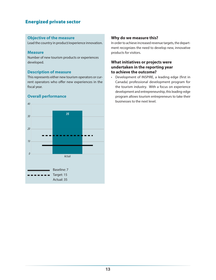#### **Objective of the measure**

Lead the country in product/experience innovation.

#### **Measure**

Number of new tourism products or experiences developed.

#### **Description of measure**

This represents either new tourism operators or current operators who offer new experiences in the fiscal year.

#### **Overall performance**



#### **Why do we measure this?**

In order to achieve increased revenue targets, the department recognizes the need to develop new, innovative products for visitors.

#### **What initiatives or projects were undertaken in the reporting year to achieve the outcome?**

• Development of INSPIRE, a leading edge (first in Canada) professional development program for the tourism industry. With a focus on experience development and entrepreneurship, this leading-edge program allows tourism entrepreneurs to take their businesses to the next level.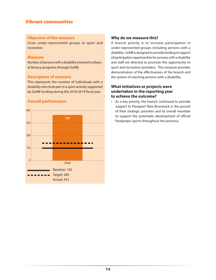#### Vibrant communities

#### **Objective of the measure**

Grow under-represented groups in sport and recreation.

#### **Measure**

Number of persons with a disability involved in physical literacy programs through GoNB.

#### **Description of measure**

This represents the number of individuals with a disability who took part in a sport activity supported by GoNB funding during the 2018-2019 fiscal year.

#### **Overall performance**



#### **Why do we measure this?**

A branch priority is to increase participation in under-represented groups including persons with a disability. GoNB is designed to provide funding in support of participation opportunities for persons with a disability and staff are directed to promote this opportunity to sport and recreation providers. This measure provides demonstration of the effectiveness of the branch and the system of reaching persons with a disability.

#### **What initiatives or projects were undertaken in the reporting year to achieve the outcome?**

• As a key priority, the branch continued to provide support to Parasport New Brunswick in the pursuit of their strategic priorities and its overall mandate to support the systematic development of official Paralympic sports throughout the province.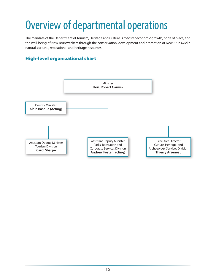### <span id="page-20-0"></span>Overview of departmental operations

The mandate of the Department of Tourism, Heritage and Culture is to foster economic growth, pride of place, and the well-being of New Brunswickers through the conservation, development and promotion of New Brunswick's natural, cultural, recreational and heritage resources.

#### High-level organizational chart

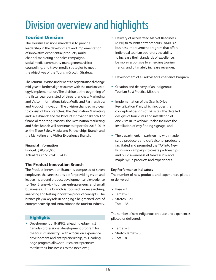### <span id="page-21-0"></span>Division overview and highlights

#### Tourism Division

The Tourism Division's mandate is to provide leadership in the development and implementation of innovative experiential products, multichannel marketing and sales campaigns, social media community management, visitor counselling, and travel media strategies to meet the objectives of the Tourism Growth Strategy.

The Tourism Division underwent an organizational change mid-year to further align resources with the tourism strategy's implementation. The division at the beginning of the fiscal year consisted of three branches: Marketing and Visitor Information; Sales, Media and Partnerships; and Product Innovation. The division changed mid-year to consist of two branches: The Destination Marketing and Sales Branch and the Product Innovation Branch. For financial reporting reasons, the Destination Marketing and Sales Branch will continue to report for 2018-2019 as the Trade Sales, Media and Partnerships Branch and the Marketing and Visitor Experience Branch.

#### **Financial information**

Budget: \$20,786,000 Actual result: \$17,941,054.19

#### **The Product Innovation Branch**

The Product Innovation Branch is composed of seven employees that are responsible for providing vision and leadership around product development and experience to New Brunswick tourism entrepreneurs and small businesses. This branch is focused on researching, analyzing and testing innovative product concepts. The branch plays a key role in bringing a heightened level of entrepreneurship and innovation to the tourism industry.

#### **Highlights**

 Development of INSPIRE, a leading edge (first in Canada) professional development program for the tourism industry. With a focus on experience development and entrepreneurship, this leadingedge program allows tourism entrepreneurs to take their businesses to the next level;

- Delivery of Accelerated Market Readiness (AMR) to tourism entrepreneurs. AMR is a business improvement program that offers individual tourism operators the ability to increase their standards of excellence, be more responsive to emerging tourism trends, and ultimately increase revenues;
- Development of a Park Visitor Experience Program;
- Creation and delivery of an Indigenous Tourism Best Practice Mission;
- Implementation of the Scenic Drive Revitalization Plan, which includes the conceptual designs of 14 vistas, the detailed designs of four vistas and installation of one vista in Pokeshaw. It also includes the installation of way finding signage; and
- The department, in partnership with maple syrup producers and craft alcohol producers facilitated and promoted the TAP into New Brunswick campaign to create partnerships and build awareness of New Brunswick's maple syrup products and experiences.

#### **Key Performance Indicators**

The number of new products and experiences piloted or delivered:

- $\cdot$  Base 7
- Target  $15$
- Stretch  $-20$
- $\cdot$  Total 35

The number of new indigenous products and experiences piloted or delivered:

- Target  $-2$
- Stretch Target 3
- Total 8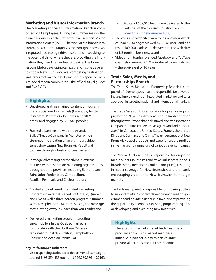#### **Marketing and Visitor Information Branch**

The Marketing and Visitor Information Branch is composed of 13 employees. During the summer season, the branch also includes the staff at the five Provincial Visitor Information Centers (PVIC). The work of the branch is to communicate to the target visitor through innovative, integrated, technology driven solutions – speaking to the potential visitor where they are, providing the information they need, regardless of device. The branch is responsible for developing campaigns to inspire travelers to choose New Brunswick over competing destinations and its current owned assets include: a responsive web site; social media communities; the official travel guide; and five PVICs.

#### **Highlights**

- Developed and maintained content on tourism brand social media channels (Facebook, Twitter, Instagram, Pinterest) which was seen 90 M times, and engaged by 663,646 people.;
- Formed a partnership with the Atlantic Ballet Theatre Company in Moncton which stemmed the creation of an eight-part video series showcasing New Brunswick's cultural tourism through a fresh and creative lens;
- Strategic advertising partnerships in external markets with destination marketing organizations throughout the province, including Edmundson, Saint John, Fredericton, Campbellton, Acadian Peninsula and Chaleur region;
- Created and delivered integrated marketing programs in external markets of Ontario, Quebec and USA as well a three-season program (Summer, Winter, Maple) to the Maritimes using the message that "Getting Away is Closer Than You Think"; and
- Delivered a marketing program targeting snowmobilers in the Quebec market, in partnership with the Northern Odyssey regional group (Edmundston, Campbellton, Chaleur and Acadian Peninsula).

#### **Key Performance Indicators**

• Visitor spending attributed to departmental campaigns totaled \$198,354,435 (up from \$126,080,986 in 2016);

- A total of 507,065 leads were delivered to the websites of the tourism industry from [www.tourismnewbrunswick.ca](http://www.tourismnewbrunswick.ca);
- The consumer web site (www.tourismnewbrunswick. ca) had 5.6 M pages viewed by 1.9 M users and as a result 500,000 leads were delivered to the web sites of NB tourism businesses; and
- Videos from tourism branded Facebook and YouTube channels garnered 5.3 M minutes of video watched – the equivalent of 10 years.

#### **Trade Sales, Media, and Partnerships Branch**

The Trade Sales, Media and Partnership Branch is composed of 10 employees that are responsible for developing and implementing an integrated marketing and sales approach in targeted national and international markets.

The Trade Sales unit is responsible for positioning and promoting New Brunswick as a tourism destination through travel-trade channels (travel and transportation companies, airline carriers, travel agents and online operators) in Canada, the United States, France, the United Kingdom, Germany and China. The unit ensures that New Brunswick travel products and experiences are profiled in the marketing campaigns of various travel companies.

The Media Relations unit is responsible for engaging media outlets, journalists and travel influencers (editors, broadcasters, freelancers, online and print), resulting in media coverage for New Brunswick, and ultimately encouraging visitation to New Brunswick from target markets.

The Partnership unit is responsible for growing dollars to support market/program development based on government and private partnership investment providing the opportunity to enhance existing programming and/ or developing and executing new initiatives.

#### **Highlights**

 The establishment of a Travel Trade Readiness program and a China market readiness initiative in partnership with pan-Atlantic provincial partners and Tourism Atlantic;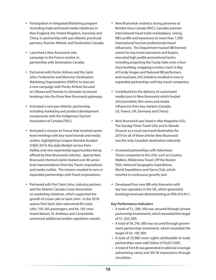- Participation in integrated Marketing program (including trade and travel media initiatives) in New England, the United Kingdom, Germany and China, in partnership with pan Atlantic provincial partners, Tourism Atlantic and Destination Canada;
- Launched a New Brunswick solo campaign in the France market, in partnership with Destination Canada;
- Partnered with Porter Airlines and the Saint John, Fredericton and Moncton Destination Marketing Organizations (DMO's) to execute a new campaign with Porter Airlines focused on Ottawa and Toronto to stimulate increased bookings into the three New Brunswick gateways;
- Activated a new pan-Atlantic partnership, including marketing and product development components with the Indigenous Tourism Association of Canada (ITAC);
- Activated a mission to France that involved senior level meetings with key travel brands and media outlets, highlighting Congres Mondial Acadian (CMA) 2019, the daily Westjet service Paris-Halifax and new experiential opportunities being offered by New Brunswick industry. Special New Brunswick themed events hosted over 80 senior level representatives from key Travel corporations and media outlets. The mission resulted in new or expanded partnerships with Travel corporations;
- Partnered with Port Saint John, industry partners and the Atlantic Canada Cruise Association on marketing initiatives, which supported the growth of cruise calls to Saint John. In the 2018 season Port Saint John welcomed 69 cruise calls; 159, 565 passengers; and 64, 165 crew. Grand Manan, St. Andrews and Campobello welcomed additional smaller expedition vessels;
- New Brunswick created a strong presence at Rendez-Vous Canada (RVC), Canada's premier international travel trade marketplace, raising NB's profile and awareness to more than 1,500 international tourism professionals/travel influencers. The Department hosted NB themed events for key travel executives and buyers, executed high profile promotional tactics including projecting the Fundy tides onto a fourstory building, wrapping a motor coach in Bay of Fundy images and featured NB performers and musicians, this initiative resulted in new or expanded partnerships with key travel companies;
- Contributed to the delivery of customized media tours in New Brunswick which hosted 203 journalists, film crews and media influencers from key markets (Canada, US, France, UK, Germany and China);
- New Brunswick was listed in Afar Magazine (US), The Sunday Times Travel (UK) and le Monde (France) as a must-see travel destination for 2019 (in all of these articles New Brunswick was the only Canadian destination selected);
- **Increased partnerships with Adventure** Travel companies in the USA, such as Country Walkers, Wilderness Travel, Off the Beaten Path, National Geographic Expeditions, World Expeditions and Sierra Club, which resulted in continuous growth; and
- Developed four new NB only itineraries with key tour operators in the UK, which generated bookings/revenues demonstrating an ROI of 6.45:1.

#### **Key Performance Indicators**

- A total of \$1, 288, 500 was secured through private partnership investments, which exceeded the target of \$1, 025, 000.
- A total of \$4, 245, 000 was secured through government partnership investment, which exceeded the target of \$4, 100, 000.
- A total of 25,980 room nights attributable to trade partnerships were sold (Value of \$4,621,920).
- A total of \$9.4 M was generated in editorial coverage (advertising value) and 302 M impressions through circulation.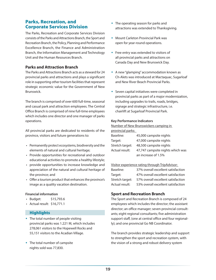#### Parks, Recreation, and Corporate Services Division

The Parks, Recreation and Corporate Services Division consists of the Parks and Attractions Branch, the Sport and Recreation Branch, the Policy, Planning and Performance Excellence Branch, the Finance and Administration Branch, the Information Management and Technology Unit and the Human Resources Branch.

#### **Parks and Attraction Branch**

The Parks and Attractions Branch acts as a steward for 24 provincial parks and attractions and plays a significant role in supporting other tourism facilities that represent strategic economic value for the Government of New Brunswick.

The branch is comprised of over 600 full-time, seasonal and casual park and attraction employees. The Central Office Branch is comprised of nine full-time employees which includes one director and one manager of parks operations.

All provincial parks are dedicated to residents of the province, visitors and future generations to:

- Permanently protect ecosystems, biodiversity and the elements of natural and cultural heritage;
- Provide opportunities for recreational and outdoor educational activities to promote a healthy lifestyle;
- provide opportunities to increase knowledge and appreciation of the natural and cultural heritage of the province; and
- Offer a tourism product that enhances the province's image as a quality vacation destination.

#### **Financial information**

- Budget: \$15,793.6
- Actual result: \$16,771.1

#### **Highlights**

- The total number of people visiting provincial parks was 1.221 M, which includes 278,061 visitors to the Hopewell Rocks and 55,151 visitors to the Acadian Village.
- The total number of campsite nights sold was 77,830.
- The operating season for parks and attractions was extended to Thanksgiving.
- Mount Carleton Provincial Park was open for year-round operations.
- **Free entry was extended to visitors of** all provincial parks and attractions on Canada Day and New Brunswick Day.
- A new "glamping" accommodation known as Ch-Alets was introduced at Mactaquac, Sugarloaf and New River Beach Provincial Parks.
- Seven capital initiatives were completed in provincial parks as part of a major modernization, including upgrades to trails, roads, bridges, signage and strategic infrastructure, i.e. chairlift at Sugarloaf Provincial Park.

#### **Key Performance Indicators**

Number of New Brunswickers camping in

|  | provincial parks: |
|--|-------------------|
|  |                   |

| Baseline:       | 45,000 campsite nights           |
|-----------------|----------------------------------|
| Target:         | 47,000 campsite nights           |
| Stretch target: | 48,500 campsite nights           |
| Actual result:  | 47,747 campsite nights which was |
|                 | an increase of 1.5%              |

#### Visitor experience rating through TripAdvisor:

| 37% overall excellent satisfaction |
|------------------------------------|
| 47% overall excellent satisfaction |
| 57% overall excellent satisfaction |
| 53% overall excellent satisfaction |
|                                    |

#### **Sport and Recreation Branch**

The Sport and Recreation Branch is composed of 24 employees which includes the director; the assistant director; an office manager; seven provincial consultants; eight regional consultants; five administration support staff, (one at central office and four regionally); and one provincial Go NB Coordinator.

The branch provides strategic leadership and support to strengthen the sport and recreation system, with the vision of a strong and robust delivery system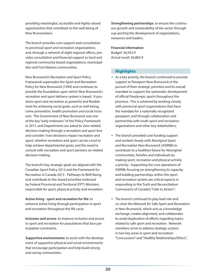providing meaningful, accessible and highly valued opportunities that contribute to the well-being of New Brunswickers.

The branch provides core support and consultation to provincial sport and recreation organizations; and, through a network of eight regional offices, provides consultation and financial support to local and regional community-based organizations, municipalities and First Nations communities.

New Brunswick's Recreation and Sport Policy Framework supersedes the Sport and Recreation Policy for New Brunswick (1994) and continues to provide the foundation upon which New Brunswick's recreation and sport delivery system is based. It positions sport and recreation as powerful and flexible tools for achieving social goals, such as well-being, crime prevention, health promotion and social inclusion. The Government of New Brunswick was one of the key "early endorsers" of the Policy Framework in 2017, and Departments are asked to view related decision-making through a recreation and sport lens and consider: how decisions impact recreation and sport; whether recreation and sport can be a tool to help achieve departmental goals; and the need to consult with recreation and sport partners on related decision-making.

The branch's key strategic goals are aligned with the Canadian Sport Policy 2012 and the Framework for Recreation in Canada 2015 - Pathways to Well-Being, and contribute to the shared priorities endorsed by Federal Provincial and Territorial (FPT) Ministers responsible for sport, physical activity and recreation.

**Active living - sport and recreation for life:** to enhance active living through participation in sport and recreation throughout the life cycle.

**Inclusion and access**: to improve inclusion and access to sport and recreation for populations that face participation constraints.

**Supportive environments:** to assist with the development of supportive physical and social environments that encourage participation and help build strong and caring communities.

**Strengthening partnerships**: to ensure the continuous growth and sustainability of the sector through sup-porting the development of organizations, resources and leaders.

#### **Financial information**

Budget: \$6,922.9 Actual result: \$6,883.9

#### **Highlights**

- $\bullet$  As a key priority, the branch continued to provide support to Parasport New Brunswick in the pursuit of their strategic priorities and its overall mandate to support the systematic development of official Paralympic sports throughout the province. This is achieved by working closely with provincial sport organizations that have the mandate for a nationally recognized parasport, and through collaboration and partnership with multi-sport and recreation organizations and other key stakeholders;
- The branch provided core funding support and worked closely with Aboriginal Sport and Recreation New Brunswick (ASRNB) to contribute to a healthier future for Aboriginal communities, families and individuals by making sport, recreation and physical activity a priority. Supporting the core operations of ASRNB, focusing on strengthening its capacity, and building partnerships within the sport and recreation system are critical aspects in responding to the Truth and Reconciliation Commission of Canada's "Calls to Action";
- The branch continued to play lead role and co-chair the Network for Safe Sport and Recreation in New Brunswick, which acts as a knowledge exchange, creates alignment, and collaborates to avoid duplication of efforts regarding topics related to safe sport and recreation. Network members strive to address strategic actions in two key areas in sport and recreation: "Concussions" and "Healthy Relationships/Ethics";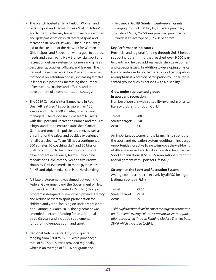- The branch hosted a Think Tank on Women and Girls in Sport and Recreation as a "Call to Action" and to identify the way forward to increase women and girls' participation in all facets of sport and recreation in New Brunswick. This subsequently led to the creation of the Network for Women and Girls in Sport and Recreation with a goal to address needs and gaps facing New Brunswick's sport and recreation delivery system for women and girls as participants, coaches, officials, and leaders. The network developed an Action Plan and strategies that focus on: retention of girls, increasing females in leadership positions, increasing the number of instructors, coaches and officials, and the development of a communication strategy;
- The 2019 Canada Winter Games held in Red Deer, AB featured 19 sports, more than 150 events and up to 3,600 athletes, coaches and managers. The responsibility of Team NB rests with the Sport and Recreation Branch and requires a high standard to ensure established Canada Games and provincial policies are met, as well as ensuring for the safety and positive experience for all participants. Team NB had a contingent of 200 athletes, 65 coaching staff, and 20 Mission Staff. In addition to being an important sport development experience, Team NB won nine medals: one Gold, three Silver and five Bronze. Notables: First ever medal in men's gymnastics for NB and triple medallist in Para-Nordic skiing;
- A Bilateral Agreement was signed between the Federal Government and the Government of New Brunswick in 2015. Branded as "Go NB", this grant program is designed to strengthen physical literacy and reduce barriers to sport participation for children and youth, focusing on under-represented populations; In March 2018, the agreement was amended to extend funding for an additional three (3) years and included supplemental funds for Indigenous youth and sport;
- **Regional GoNB Grants:** Fifty-four grants ranging from \$700 to \$5,000 were provided; a total of \$227,640.50 was provided regionally, which is an average of \$4216 per grant; and

 **Provincial GoNB Grants:** Twenty-seven grants ranging from \$3,000 to \$15,000 were provided; a total of \$332,262.50 was provided provincially, which is an average of \$12,780 per grant.

#### **Key Performance Indicators**

Provincial and regional funding through GoNB helped support programming that reached over 9,600 participants and helped address leadership development and capacity issues. In addition to developing physical literacy and/or reducing barriers to sport participation, an emphasis is placed on participation by under-represented groups such as persons with a disability.

#### **Grow under-represented groups in sport and recreation**

Number of persons with a disability involved in physical literacy programs through GoNB:

| Target:         | 200 |
|-----------------|-----|
| Stretch target: | 250 |
| Actual:         | 541 |

An important outcome for the branch is to strengthen the sport and recreation system resulting in increased opportunities for active living to improve the well-being of all New Brunswickers. Two key indicators for Provincial Sport Organizations (PSOs) is "organizational strength" and "alignment with Sport for Life (S4L)".

#### **Strengthen the Sport and Recreation System**

Average points scored collectively by all PSO for organizational strength (FM1):

| Target:         | 29.56 |
|-----------------|-------|
| Stretch target: | 29.81 |
| Actual:         | 29.3  |

*\* Although the branch did not meet the target it did improve on the overall average of the 46 provincial sport organizations supported through Funding Model I. The was base 29.06 which increased to 29.3.*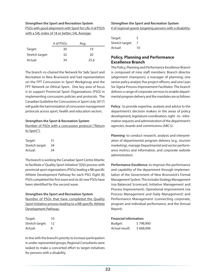#### **Strengthen the Sport and Recreation System**

PSOs with good alignment with Sport for Life: # of PSOS with a S4L index of 18 or better; S4L Average:

|                 | # of PSOs | Avg. |
|-----------------|-----------|------|
| Target:         | 30        | 19   |
| Stretch target: | 32        | 20   |
| Actual:         | 34        | 25.6 |

The branch co-chaired the Network for Safe Sport and Recreation in New Brunswick and had representation on the FPT Concussion in Sport Workgroup and the FPT Network on Ethical Sport. One key area of focus is to support Provincial Sport Organizations (PSO) in implementing concussion policies and protocols. The Canadian Guideline for Concussions in Sport (July 2017) will guide the harmonization of concussion management protocols across sport, health and education sectors.

#### **Strengthen the Sport & Recreation System**

Number of PSOs with a concussion protocol ("Return to Sport"):

| Target:         | 31 |
|-----------------|----|
| Stretch target: | 34 |
| Actual:         | 34 |

The branch is working the Canadian Sport Centre Atlantic to facilitate a "Quality Sport Initiative" (QSI) process with provincial sport organizations (PSOs) leading a NB specific Athlete Development Pathway for each PSO. Eight (8) PSOs completed the first wave and six (6) new PSOs have been identified for the second wave.

#### **Strengthen the Sport and Recreation System**

Number of PSOs that have completed the Quality Sport Initiative process leading to a NB specific Athlete Development Pathway:

| Target:         | 10 |
|-----------------|----|
| Stretch target: | 12 |
| Actual:         | 8  |

In line with the branch's priority to increase participation in under-represented groups, Regional Consultants were tasked to make a concerted effort to target initiatives for persons with a disability.

#### **Strengthen the Sport and Recreation System** # of regional grants targeting persons with a disability:

| Target:         | 5  |
|-----------------|----|
| Stretch target: | 7  |
| Actual:         | 10 |

#### **Policy, Planning and Performance Excellence Branch**

The Policy, Planning and Performance Excellence Branch is composed of nine staff members: Branch director (alignment champion); a manager of planning; one senior policy analyst; five project officers; and one Lean Six Sigma Process Improvement Facilitator. The branch delivers a range of corporate services to enable departmental program delivery and the mandates are as follows:

**Policy**: to provide expertise, analysis and advice to the department's decision makers in the areas of policy development, legislature coordination, right - to - information requests and administration of the department's agencies, boards and commissions (ABC's).

**Planning**: to conduct research, analysis and interpretation of departmental program delivery (e.g., tourism marketing), manage Departmental and sector performance metrics and information, and corporate website administration.

**Performance Excellence**: to improve the performance and capability of the department through implementation of the Government of New Brunswick's Formal Management System. This includes Strategy Management (via Balanced Scorecard, Initiative Management and Process Improvement), Operational Improvement (via Process Management and Daily Management) and Performance Management (connecting corporate, program and individual performance, and the Annual Report).

#### **Financial information**

| Budget:        | \$798,900 |
|----------------|-----------|
| Actual result: | \$668,006 |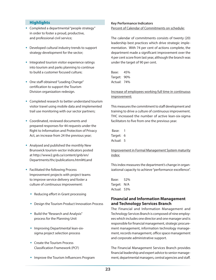#### **Highlights**

- Completed a departmental "people strategy" in order to foster a proud, productive, and professional civil service;
- Developed cultural industry trends to support strategy development for the sector;
- Integrated tourism visitor experience ratings into tourism and parks planning to continue to build a customer focused culture;
- One staff obtained "Leading Change" certification to support the Tourism Division organization redesign.
- Completed research to better understand tourism visitor travel using mobile data and implemented trail use monitoring with our sector partners;
- Coordinated, reviewed documents and prepared responses for 44 requests under the Right to Information and Protection of Privacy Act, an increase from 24 the previous year;
- Analysed and published the monthly New Brunswick tourism-sector indicators posted at http://www2.gnb.ca/content/gnb/en/ Departments/thc/publications.html#ti;and
- Facilitated the following Process Improvement projects with project teams to improve service delivery and foster a culture of continuous improvement:
	- Reducing effort in Grant processing
	- Design the Tourism Product Innovation Process
	- Build the "Research and Analysis" process for the Planning Unit
	- Improving Departmental lean-sixsigma project selection process
	- Create the Tourism Process Classification Framework (PCF)
	- Improve the Tourism Influencers Program

#### **Key Performance Indicators** Percent of Calendar of Commitments on schedule:

The calendar of commitments consists of twenty (20) leadership best practices which drive strategic implementation. With 74 per cent of actions complete, the department made a significant improvement over the 4 per cent score from last year, although the branch was under the target of 90 per cent.

Base: 45% Target: 90% Actual: 74%

#### Increase of employees working full time in continuous improvement:

This measures the commitment to staff development and training to drive a culture of continuous improvement. THC increased the number of active lean-six-sigma facilitators to five from one the previous year.

 Base: 1 Target: 6 Actual: 5

#### Improvement in Formal Management System maturity index:

This index measures the department's change in organizational capacity to achieve "performance excellence".

Base: 52% Target: N/A Actual: 53%

#### **Financial and Information Management and Technology Services Branch**

The Financial and Information Management and Technology Services Branch is composed of nine employees which includes one director and one manager and is responsible for financial management, strategic procurement management, information technology management, records management, office space management and corporate administrative support.

The Financial Management Services Branch provides financial leadership and expert advice to senior management, departmental managers, central agencies and staff.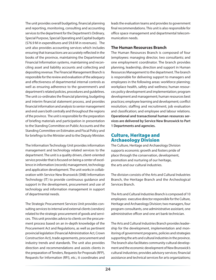The unit provides overall budgeting, financial planning and reporting, monitoring, consulting and accounting services to the department for the Department's Ordinary, Special Purpose, Special Operating and Capital budgets (\$76.9 M in expenditures and \$9.8 M in revenues). The unit also provides accounting services which includes ensuring that transactions are accurately reflected in the books of the province, maintaining the Departmental Financial Information systems, maintaining and reconciling asset and liability accounts and collecting and depositing revenue. The Financial Management Branch is responsible for the review and evaluation of the adequacy and effectiveness of departmental internal controls as well as ensuring adherence to the government's and department's related policies, procedures and guidelines. The unit co-ordinates the financial planning, budgeting and interim financial statement process, and provides financial information and analysis to senior management and end users both centrally and throughout the regions of the province. The unit is responsible for the preparation of briefing materials and participation in presentation to the Standing Committee on Public Accounts and the Standing Committee on Estimates and Fiscal Policy and for briefings to the Minister and to the Deputy Minister.

The Information Technology Unit provides information management and technology related services to the department. The unit is a quality driven, client-oriented service provider that is focused on being a center of excellence in information (records) management, technology and application development. The unit works in collaboration with Service New Brunswick (SNB) Information Technology (IT) to provide continuous guidance and support in the development, procurement and use of technology and information management in support of departmental needs.

The Strategic Procurement Services Unit provides consulting services to internal and external clients (vendors) related to the strategic procurement of goods and services. This unit provides advice to clients on the procurement process based on an in-depth knowledge of the Procurement Act and Regulations, as well as pertinent provincial legislation (Financial Administration Act, Crown Construction Act), trade agreements, procurement and industry trends and standards. The unit also provides direction and recommendations and assists clients in the preparation of Tenders, Requests for Proposals (RFP), Requests for Information (RFI), etc.; it coordinates and

leads the evaluation teams and provides to government final recommendations. This unit is also responsible for office space management and departmental telecommunication needs.

#### **The Human Resources Branch**

The Human Resources Branch is composed of four (employees: managing director, two consultants; and one employment coordinator. The branch provides planning, leadership, direction and support in Human Resources Management to the department. The branch is responsible for delivering support to managers and employees in the following areas: workforce planning; workplace health, safety and wellness; human resources policy development and implementation; program development and management; human resources best practices; employee learning and development; conflict resolution; staffing and recruitment; job evaluation and classification; and employee and labour relations. **Operational and transactional human resources services are delivered by Service New Brunswick to Part 1 Departments and agencies.** 

#### Culture, Heritage and Archaeology Division

The Culture, Heritage and Archaeology Division supports economic growth and fosters pride of place through the conservation, development, promotion and nurturing of our heritage, the arts and our cultural industries.

The division consists of the Arts and Cultural Industries Branch, the Heritage Branch and the Archeological Services Branch.

The Arts and Cultural Industries Branch is composed of 10 employees: executive director responsible for the Culture, Heritage and Archaeology Division; two managers, four program consultants, one administrative assistant, one administrative officer and one art bank technician.

The Arts and Cultural Industries Branch provides leadership for the development, implementation and monitoring of government programs, policies and strategies supporting the arts and cultural industries in the province. The branch also facilitates community cultural development and the economic development of New Brunswick's cultural industries; provides advisory services; financial assistance and technical services for arts organizations;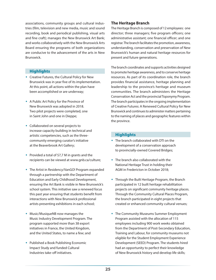associations, community groups and cultural industries (film, television and new media, music and sound recording, book and periodical publishing, visual arts and fine craft); manages the New Brunswick Art Bank; and works collaboratively with the New Brunswick Arts Board ensuring the programs of both organizations are conducive to the advancement of the arts in New Brunswick.

#### **Highlights**

- Creative Futures, the Cultural Policy for New Brunswick was in year five of its implementation. At this point, all actions within the plan have been accomplished or are underway;
- A Public Art Policy for the Province of New Brunswick was adopted in 2018. Two pilot projects were completed, one in Saint John and one in Dieppe;
- Collaborated on several projects to increase capacity building in technical and artistic competencies, such as the threecommunity emerging curator's initiative at the Beaverbrook Art Gallery;
- $\bullet$  Provided a total of \$7,7 M in grants and the recipients can be viewed at www.gnb.ca/culture;
- The Artist in Residency/VanGO! Program expanded through a partnership with the Department of Education and Early Childhood Development, ensuring the Art Bank is visible in New Brunswick's school system. This initiative saw a renewed focus this past year ensuring that students benefit from interactions with New Brunswick professional artists presenting exhibitions in each school;
- Music/MusiqueNB now manages the Music Industry Development Program. The program supported more than 38 export initiatives in France, the United Kingdom, and the United States, to name a few; and
- Published a Book Publishing Economic Impact Study and funded Cultural Industries take-off initiatives.

#### **The Heritage Branch**

The Heritage Branch is composed of 12 employees: one director; three managers; five program officers; one administrative assistant; one financial officer; and one registrar. The branch facilitates the promotion, awareness, understanding, conservation and preservation of New Brunswick's human and natural heritage resources for present and future generations.

The branch coordinates and supports activities designed to promote heritage awareness, and to conserve heritage resources. As part of its coordination role, the branch provides financial assistance, heritage planning and leadership to the province's heritage and museum communities. The branch administers the Heritage Conservation Act and the provincial Toponymy Program. The branch participates in the ongoing implementation of Creative Futures: A Renewed Cultural Policy for New Brunswick and continues to administer matters pertaining to the naming of places and geographic features within the province.

#### **Highlights**

- The branch collaborated with DTI on the development of a conservation approach to provincially-owned Covered Bridges;
- The branch also collaborated with the National Heritage Trust in holding their AGM in Fredericton in October 2018;
- Through the Built Heritage Program, the Branch participated in 12 built heritage rehabilitation projects on significant community heritage places. Through the Community Cultural Places Program, the branch participated in eight projects that created or enhanced community cultural venues;
- The Community Museums Summer Employment Program assisted with the allocation of 115 employees including 900 work weeks obtained from the Department of Post-Secondary Education, Training and Labour, for community museums not eligible for the Student Employment Experience Development (SEED) Program. The students hired had an opportunity to perfect their knowledge of New Brunswick history and develop life skills;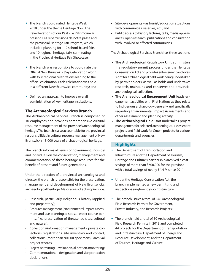- The branch coordinated Heritage Week 2018 under the theme Heritage Now! The Reverberations of our Past - Le Patrimoine au présent! Les répercussions de notre passé and the provincial Heritage Fair Program, which included planning for 119 school-based fairs and 10 regional heritage fairs culminating in the Provincial Heritage Fair Showcase;
- The branch was responsible to coordinate the Official New Brunswick Day Celebration along with four regional celebrations leading to the official celebration. Each celebration was held in a different New Brunswick community; and
- Defined an approach to improve overall administration of key heritage institutions.

#### **The Archaeological Services Branch**

The Archaeological Services Branch is composed of 10 employees and provides comprehensive cultural resource management of the province's archaeological heritage. The branch is also accountable for the provincial responsibilities in cultural resource management of New Brunswick's 13,000 years of archaeo-logical heritage.

The branch informs all levels of government, industry and individuals on the conservation, management and commemoration of these heritage resources for the benefit of present and future generations.

Under the direction of a provincial archaeologist and director, the branch is responsible for the preservation, management and development of New Brunswick's archaeological heritage. Major areas of activity include:

- Research, particularly Indigenous history (applied and preparatory);
- Resource management (environmental impact assessment and use planning, disposal, water course permits, (i.e., preservation of threatened sites, cultural and natural);
- Collections/information management private collections registrations, site inventory and control, collections (more than 90,000 specimens), archival project records;
- Project permitting evaluation, allocation, monitoring;
- Commemorations designation and site protection declarations;
- Site developments as tourist/education attractions with communities, reserves, etc.; and
- Public access to history lectures, talks, media appearances, open research, publications and consultation with involved or effected communities.

The Archaeological Services Branch has three sections:

- **• The Archaeological Regulatory Unit** administers the regulatory permit process under the Heritage Conservation Act and provides enforcement and oversight for archaeological field work being undertaken by permit holders, as well as holds and undertakes research, maintains and conserves the provincial archaeological collection.
- **• The Archaeological Engagement Unit** leads engagement activities with First Nations as they relate to Indigenous archaeology generally and specifically regarding Environmental Impact Assessments and other assessment and planning activity.
- **• The Archaeological Field Unit** undertakes project management for selected archaeological assessment projects and field work for Crown projects for various departments and agencies.

#### **Highlights**

- The Department of Transportation and Infrastructure and the Department of Tourism, Heritage and Culture's partnership archived a cost savings of more than \$600,000 for the province with a total savings of nearly \$4.4 M since 2011;
- Under the Heritage Conservation Act, the branch implemented a new permitting and inspections single-entry-point structure;
- The branch issues a total of 146 Archaeological Field Research Permits for Government, Private Industry, and Research Projects;
- The branch held a total of 50 Archaeological Field Research Permits in 2018 and completed 44 projects for the Department of Transportation and Infrastructure, Department of Energy and Resource Development, and the Department of Tourism, Heritage and Culture;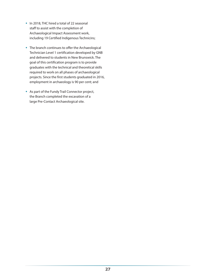- In 2018, THC hired a total of 22 seasonal staff to assist with the completion of Archaeological Impact Assessment work, including 19 Certified Indigenous Technicins;
- The branch continues to offer the Archaeological Technician Level 1 certification developed by GNB and delivered to students in New Brunswick. The goal of this certification program is to provide graduates with the technical and theoretical skills required to work on all phases of archaeological projects. Since the first students graduated in 2016, employment in archaeology is 90 per cent; and
- As part of the Fundy Trail Connector project, the Branch completed the excavation of a large Pre-Contact Archaeological site.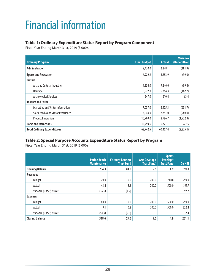### <span id="page-33-0"></span>Financial information

#### **Table 1: Ordinary Expenditure Status Report by Program Component**

Fiscal Year Ending March 31st, 2019 (\$ 000's)

| <b>Ordinary Program</b>             | <b>Final Budget</b> | <b>Actual</b> | <b>Variance</b><br>(Under) Over |
|-------------------------------------|---------------------|---------------|---------------------------------|
| <b>Administration</b>               | 2,430.0             | 2,248.1       | (181.9)                         |
| <b>Sports and Recreation</b>        | 6,922.9             | 6,883.9       | (39.0)                          |
| Culture                             |                     |               |                                 |
| Arts and Cultural Industries        | 9,336.0             | 9,246.6       | (89.4)                          |
| Heritage                            | 6,927.0             | 6,764.3       | (162.7)                         |
| <b>Archeological Services</b>       | 547.0               | 610.4         | 63.4                            |
| <b>Tourism and Parks</b>            |                     |               |                                 |
| Marketing and Visitor Information   | 7,037.0             | 6,405.3       | (631.7)                         |
| Sales, Media and Visitor Experience | 3,040.0             | 2,751.0       | (289.0)                         |
| <b>Product Innovation</b>           | 10,709.0            | 8,786.7       | (1,922.3)                       |
| <b>Parks and Attractions</b>        | 15,793.6            | 16,771.1      | 977.5                           |
| <b>Total Ordinary Expenditures</b>  | 62,742.5            | 60,467.4      | (2,275.1)                       |

#### **Table 2: Special Purpose Accounts Expenditure Status Report by Program**

Fiscal Year Ending March 31st, 2019 (\$ 000's)

|                         | <b>Parlee Beach</b><br><b>Maintenance</b> | <b>Viscount Bennett</b><br><b>Trust Fund</b> | <b>Arts Develop't</b><br><b>Trust Fund)</b> | <b>Sports</b><br><b>Develop't</b><br><b>Trust Fund</b> | Go NB! |
|-------------------------|-------------------------------------------|----------------------------------------------|---------------------------------------------|--------------------------------------------------------|--------|
| <b>Opening Balance</b>  | 284.3                                     | 48.0                                         | 5.6                                         | 4.9                                                    | 190.8  |
| <b>Revenues</b>         |                                           |                                              |                                             |                                                        |        |
| <b>Budget</b>           | 79.0                                      | 10.0                                         | 700.0                                       | 500.0                                                  | 290.0  |
| Actual                  | 43.4                                      | 5.8                                          | 700.0                                       | 500.0                                                  | 382.7  |
| Variance (Under) / Over | (35.6)                                    | (4.2)                                        |                                             |                                                        | 92.7   |
| <b>Expenses</b>         |                                           |                                              |                                             |                                                        |        |
| Budget                  | 60.0                                      | 10.0                                         | 700.0                                       | 500.0                                                  | 290.0  |
| Actual                  | 9.1                                       | 0.2                                          | 700.0                                       | 500.0                                                  | 322.4  |
| Variance (Under) / Over | (50.9)                                    | (9.8)                                        |                                             |                                                        | 32.4   |
| <b>Closing Balance</b>  | 318.6                                     | 53.6                                         | 5.6                                         | 4.9                                                    | 251.1  |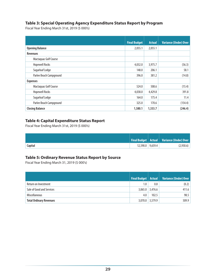#### **Table 3: Special Operating Agency Expenditure Status Report by Program**

Fiscal Year Ending March 31st, 2019 (\$ 000's)

|                         | <b>Final Budget</b> | <b>Actual</b> | <b>Variance (Under) Over</b> |
|-------------------------|---------------------|---------------|------------------------------|
| <b>Opening Balance</b>  | 2,055.1             | 2,055.1       |                              |
| <b>Revenues</b>         |                     |               |                              |
| Mactaquac Golf Course   |                     |               |                              |
| <b>Hopewell Rocks</b>   | 4,032.0             | 3,975.7       | (56.3)                       |
| Sugarloaf Lodge         | 148.0               | 206.1         | 58.1                         |
| Parlee Beach Campground | 396.0               | 381.2         | (14.8)                       |
| <b>Expenses</b>         |                     |               |                              |
| Mactaquac Golf Course   | 524.0               | 508.6         | (15.4)                       |
| <b>Hopewell Rocks</b>   | 4,038.0             | 4,429.8       | 391.8                        |
| Sugarloaf Lodge         | 164.0               | 175.4         | 11.4                         |
| Parlee Beach Campground | 325.0               | 170.6         | (154.4)                      |
| <b>Closing Balance</b>  | 1,580.1             | 1,333.7       | (246.4)                      |

#### **Table 4: Capital Expenditure Status Report**

Fiscal Year Ending March 31st, 2019 (\$ 000's)

|         |                    | Final Budget   Actual   Variance (Under) Over |
|---------|--------------------|-----------------------------------------------|
| Capital | $12,590.0$ 9,659.4 | (2,930.6)                                     |

#### **Table 5: Ordinary Revenue Status Report by Source**

Fiscal Year Ending March 31, 2019 (\$ 000's)

|                                | Final Budget   Actual |                   | Variance (Under) Over |
|--------------------------------|-----------------------|-------------------|-----------------------|
|                                |                       |                   |                       |
| Return on Investment           | 1.0                   | 0.8               | (0.2)                 |
| Sale of Good and Services      |                       | $3,065.0$ 3,476.6 | 411.6                 |
| <b>Miscellaneous</b>           | 4.0                   | 102.5             | 98.5                  |
| <b>Total Ordinary Revenues</b> | 3,070.0               | 3,579.9           | 509.9                 |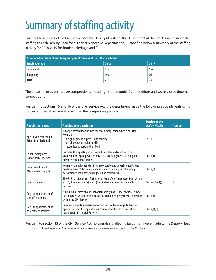## <span id="page-35-0"></span>Summary of staffing activity

Pursuant to section 4 of the Civil Service Act, the Deputy Minister of the Department of Human Resources delegates staffing to each Deputy Head for his or her respective Department(s). Please find below a summary of the staffing activity for 2018-2019 for Tourism, Heritage and Culture.

| Number of permanent and temporary employees as of Dec. 31 of each year |      |      |  |
|------------------------------------------------------------------------|------|------|--|
| <b>Employee type</b>                                                   | 2018 | 2017 |  |
| Permanent                                                              | 155  | 157  |  |
| Temporary                                                              | 103  | 76   |  |
| <b>TOTAL</b>                                                           | 258  | 233  |  |

The department advertised 20 competitions, including 13 open (public) competitions and seven closed (internal) competitions.

Pursuant to sections 15 and 16 of the Civil Service Act, the department made the following appointments using processes to establish merit other than the competitive process:

| <b>Appointment type</b>                               | <b>Appointment description</b>                                                                                                                                                                          | <b>Section of the</b><br><b>Civil Service Act</b> | <b>Number</b> |
|-------------------------------------------------------|---------------------------------------------------------------------------------------------------------------------------------------------------------------------------------------------------------|---------------------------------------------------|---------------|
| Specialized Professional,<br>Scientific or Technical  | An appointment may be made without competition when a position<br>requires:<br>$-$ a high degree of expertise and training<br>- a high degree of technical skill<br>- recognized experts in their field | 15(1)                                             | $^{0}$        |
| Equal Employment<br><b>Opportunity Program</b>        | Provides Aboriginals, persons with disabilities and members of a<br>visible minority group with equal access to employment, training and<br>advancement opportunities.                                  | 16(1)(a)                                          | 0             |
| <b>Department Talent</b><br><b>Management Program</b> | Permanent employees identified in corporate and departmental talent<br>pools, who meet the four-point criteria for assessing talent, namely<br>performance, readiness, willingness and criticalness.    | 16(1)(b)                                          | $^{0}$        |
| Lateral transfer                                      | The GNB transfer process facilitates the transfer of employees from within<br>Part 1, 2 (school boards) and 3 (hospital corporations) of the Public<br>Service.                                         | $16(1)$ or $16(1)(c)$                             | 3             |
| Regular appointment of<br>casual/temporary            | An individual hired on a casual or temporary basis under section 17 may<br>be appointed without competition to a regular properly classified position<br>within the Civil Service.                      | 16(1)(d)(i)                                       | 0             |
| Regular appointment of<br>students/apprentices        | Summer students, university or community college co-op students or<br>apprentices may be appointed without competition to an entry level<br>position within the Civil Service.                          | 16(1)(d)(ii)                                      | 0             |

Pursuant to section 33 of the Civil Service Act, no complaints alleging favouritism were made to the Deputy Head of Tourism, Heritage and Culture and no complaints were submitted to the Ombud.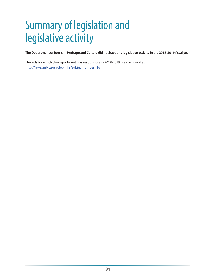### <span id="page-36-0"></span>Summary of legislation and legislative activity

**The Department of Tourism, Heritage and Culture did not have any legislative activity in the 2018-2019 fiscal year**.

The acts for which the department was responsible in 2018-2019 may be found at: <http://laws.gnb.ca/en/deplinks?subjectnumber=16>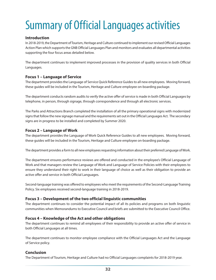### <span id="page-37-0"></span>Summary of Official Languages activities

#### **Introduction**

In 2018-2019, the Department of Tourism, Heritage and Culture continued to implement our revised Official Languages Action Plan which supports the GNB Official Languages Plan and monitors and evaluates all departmental activities supporting the four focus areas detailed below.

The department continues to implement improved processes in the provision of quality services in both Official Languages.

#### **Focus 1 – Language of Service**

The department provides the Language of Service Quick Reference Guides to all new employees. Moving forward, these guides will be included in the Tourism, Heritage and Culture employee on-boarding package.

The department conducts random audits to verify the active offer of service is made in both Official Languages by telephone, in person, through signage, through correspondence and through all electronic services.

The Parks and Attractions Branch completed the installation of all the primary operational signs with modernized signs that follow the new signage manual and the requirements set out in the Official Languages Act. The secondary signs are in progress to be installed and completed by Summer 2020.

#### **Focus 2 – Language of Work**

The department provides the Language of Work Quick Reference Guides to all new employees. Moving forward, these guides will be included in the Tourism, Heritage and Culture employee on-boarding package.

The department provides a form to all new employees requesting information about their preferred Language of Work.

The department ensures performance reviews are offered and conducted in the employee's Official Language of Work and that managers review the Language of Work and Language of Service Policies with their employees to ensure they understand their right to work in their language of choice as well as their obligation to provide an active offer and service in both Official Languages.

Second-language training was offered to employees who meet the requirements of the Second-Language Training Policy. Six employees received second-language training in 2018-2019.

#### **Focus 3 – Development of the two official linguistic communities**

The department continues to consider the potential impact of all its policies and programs on both linguistic communities when Memorandums to Executive Council and briefs are submitted to the Executive Council Office.

#### **Focus 4 – Knowledge of the Act and other obligations**

The department continues to remind all employees of their responsibility to provide an active offer of service in both Official Languages at all times.

The department continues to monitor employee compliance with the Official Languages Act and the Language of Service policy.

#### **Conclusion**

The Department of Tourism, Heritage and Culture had no Official Languages complaints for 2018-2019 year.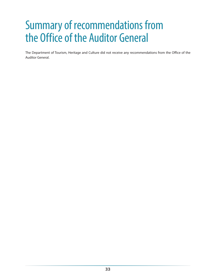### <span id="page-38-0"></span>Summary of recommendations from the Office of the Auditor General

The Department of Tourism, Heritage and Culture did not receive any recommendations from the Office of the Auditor General.